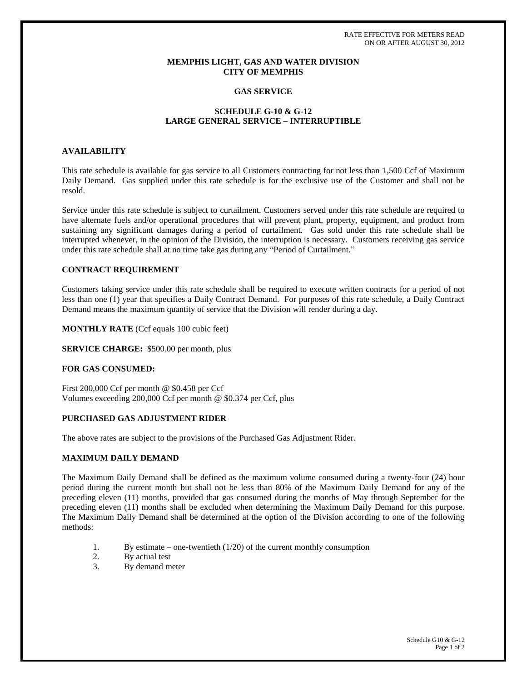RATE EFFECTIVE FOR METERS READ ON OR AFTER AUGUST 30, 2012

# **MEMPHIS LIGHT, GAS AND WATER DIVISION CITY OF MEMPHIS**

# **GAS SERVICE**

# **SCHEDULE G-10 & G-12 LARGE GENERAL SERVICE – INTERRUPTIBLE**

# **AVAILABILITY**

This rate schedule is available for gas service to all Customers contracting for not less than 1,500 Ccf of Maximum Daily Demand. Gas supplied under this rate schedule is for the exclusive use of the Customer and shall not be resold.

Service under this rate schedule is subject to curtailment. Customers served under this rate schedule are required to have alternate fuels and/or operational procedures that will prevent plant, property, equipment, and product from sustaining any significant damages during a period of curtailment. Gas sold under this rate schedule shall be interrupted whenever, in the opinion of the Division, the interruption is necessary. Customers receiving gas service under this rate schedule shall at no time take gas during any "Period of Curtailment."

# **CONTRACT REQUIREMENT**

Customers taking service under this rate schedule shall be required to execute written contracts for a period of not less than one (1) year that specifies a Daily Contract Demand. For purposes of this rate schedule, a Daily Contract Demand means the maximum quantity of service that the Division will render during a day.

#### **MONTHLY RATE** (Ccf equals 100 cubic feet)

#### **SERVICE CHARGE:** \$500.00 per month, plus

## **FOR GAS CONSUMED:**

First 200,000 Ccf per month @ \$0.458 per Ccf Volumes exceeding 200,000 Ccf per month @ \$0.374 per Ccf, plus

# **PURCHASED GAS ADJUSTMENT RIDER**

The above rates are subject to the provisions of the Purchased Gas Adjustment Rider.

### **MAXIMUM DAILY DEMAND**

The Maximum Daily Demand shall be defined as the maximum volume consumed during a twenty-four (24) hour period during the current month but shall not be less than 80% of the Maximum Daily Demand for any of the preceding eleven (11) months, provided that gas consumed during the months of May through September for the preceding eleven (11) months shall be excluded when determining the Maximum Daily Demand for this purpose. The Maximum Daily Demand shall be determined at the option of the Division according to one of the following methods:

- 1. By estimate one-twentieth  $(1/20)$  of the current monthly consumption
- 2. By actual test
- 3. By demand meter